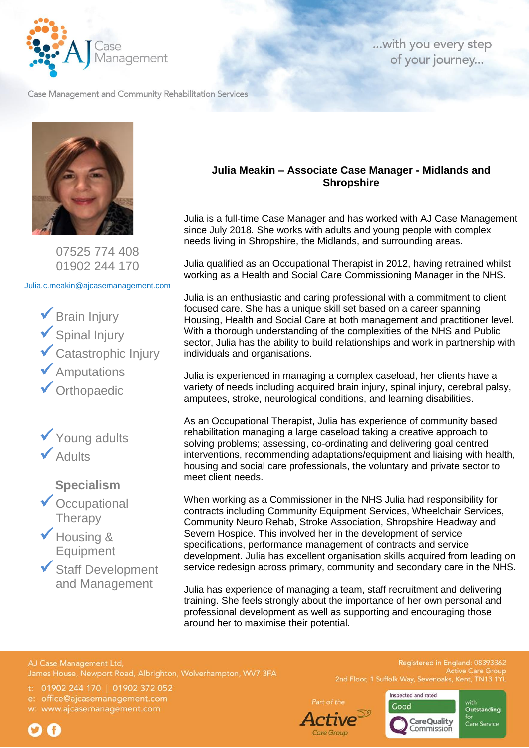

... with you every step of your journey...

Case Management and Community Rehabilitation Services



07525 774 408 01902 244 170

Julia.c.meakin@ajcasemanagement.com

 $\checkmark$  Brain Injury ✓Spinal Injury ✓Catastrophic Injury ✓Amputations ✓Orthopaedic



**Specialism**

- ◆ Occupational **Therapy**
- ◆ Housing & Equipment
- ✓Staff Development and Management

## **Julia Meakin – Associate Case Manager - Midlands and Shropshire**

Julia is a full-time Case Manager and has worked with AJ Case Management since July 2018. She works with adults and young people with complex needs living in Shropshire, the Midlands, and surrounding areas.

Julia qualified as an Occupational Therapist in 2012, having retrained whilst working as a Health and Social Care Commissioning Manager in the NHS.

Julia is an enthusiastic and caring professional with a commitment to client focused care. She has a unique skill set based on a career spanning Housing, Health and Social Care at both management and practitioner level. With a thorough understanding of the complexities of the NHS and Public sector, Julia has the ability to build relationships and work in partnership with individuals and organisations.

Julia is experienced in managing a complex caseload, her clients have a variety of needs including acquired brain injury, spinal injury, cerebral palsy, amputees, stroke, neurological conditions, and learning disabilities.

As an Occupational Therapist, Julia has experience of community based rehabilitation managing a large caseload taking a creative approach to solving problems; assessing, co-ordinating and delivering goal centred interventions, recommending adaptations/equipment and liaising with health, housing and social care professionals, the voluntary and private sector to meet client needs.

When working as a Commissioner in the NHS Julia had responsibility for contracts including Community Equipment Services, Wheelchair Services, Community Neuro Rehab, Stroke Association, Shropshire Headway and Severn Hospice. This involved her in the development of service specifications, performance management of contracts and service development. Julia has excellent organisation skills acquired from leading on service redesign across primary, community and secondary care in the NHS.

Julia has experience of managing a team, staff recruitment and delivering training. She feels strongly about the importance of her own personal and professional development as well as supporting and encouraging those around her to maximise their potential.

AJ Case Management Ltd,

t: 01902 244 170 | 01902 372 052

office@ajcasemanagement.com

www.ajcasemanagement.com



**Active Care Grout** 



Inspected and rated Outstanding **CareQuality** ....<br>Care Service Commission